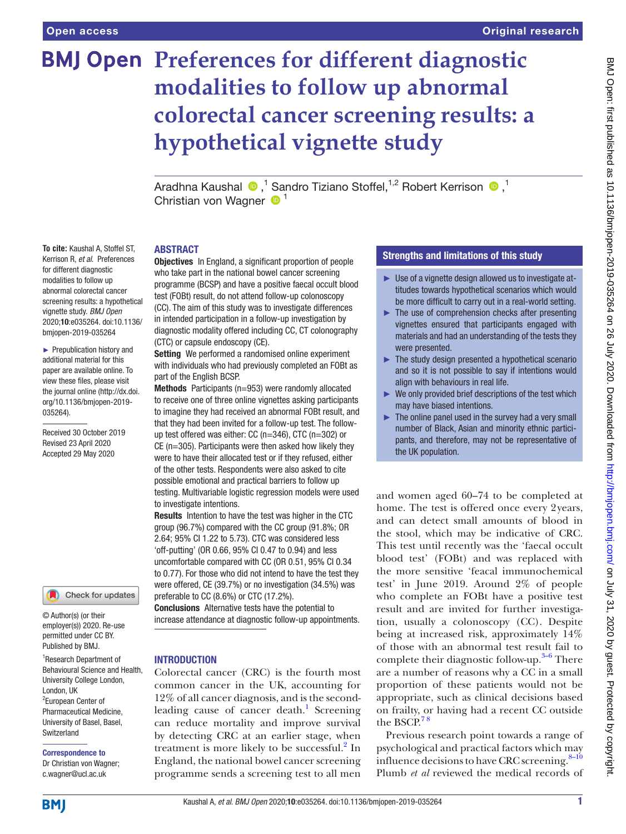**To cite:** Kaushal A, Stoffel ST, Kerrison R, *et al*. Preferences for different diagnostic modalities to follow up abnormal colorectal cancer screening results: a hypothetical vignette study. *BMJ Open* 2020;10:e035264. doi:10.1136/ bmjopen-2019-035264 ► Prepublication history and additional material for this paper are available online. To view these files, please visit the journal online (http://dx.doi. org/10.1136/bmjopen-2019-

035264).

Received 30 October 2019 Revised 23 April 2020 Accepted 29 May 2020

# **BMJ Open Preferences for different diagnostic modalities to follow up abnormal colorectal cancer screening results: a hypothetical vignette study**

AradhnaKaushal  $\bigcirc$ ,<sup>1</sup> Sandro Tiziano Stoffel,<sup>1,2</sup> Robert Kerrison  $\bigcirc$ ,<sup>1</sup> Christian von Wagner  $\bullet$ <sup>1</sup>

#### ABSTRACT

Objectives In England, a significant proportion of people who take part in the national bowel cancer screening programme (BCSP) and have a positive faecal occult blood test (FOBt) result, do not attend follow-up colonoscopy (CC). The aim of this study was to investigate differences in intended participation in a follow-up investigation by diagnostic modality offered including CC, CT colonography (CTC) or capsule endoscopy (CE).

Setting We performed a randomised online experiment with individuals who had previously completed an FOBt as part of the English BCSP.

Methods Participants (n=953) were randomly allocated to receive one of three online vignettes asking participants to imagine they had received an abnormal FOBt result, and that they had been invited for a follow-up test. The followup test offered was either: CC (n=346), CTC (n=302) or CE (n=305). Participants were then asked how likely they were to have their allocated test or if they refused, either of the other tests. Respondents were also asked to cite possible emotional and practical barriers to follow up testing. Multivariable logistic regression models were used to investigate intentions.

Results Intention to have the test was higher in the CTC group (96.7%) compared with the CC group (91.8%; OR 2.64; 95% CI 1.22 to 5.73). CTC was considered less 'off-putting' (OR 0.66, 95% CI 0.47 to 0.94) and less uncomfortable compared with CC (OR 0.51, 95% CI 0.34 to 0.77). For those who did not intend to have the test they were offered, CE (39.7%) or no investigation (34.5%) was preferable to CC (8.6%) or CTC (17.2%).

Conclusions Alternative tests have the potential to increase attendance at diagnostic follow-up appointments.

#### **INTRODUCTION**

Colorectal cancer (CRC) is the fourth most common cancer in the UK, accounting for 12% of all cancer diagnosis, and is the second-leading cause of cancer death.<sup>[1](#page-8-0)</sup> Screening can reduce mortality and improve survival by detecting CRC at an earlier stage, when treatment is more likely to be successful.<sup>[2](#page-8-1)</sup> In England, the national bowel cancer screening programme sends a screening test to all men

#### Strengths and limitations of this study

- ► Use of a vignette design allowed us to investigate attitudes towards hypothetical scenarios which would be more difficult to carry out in a real-world setting.
- $\blacktriangleright$  The use of comprehension checks after presenting vignettes ensured that participants engaged with materials and had an understanding of the tests they were presented.
- $\blacktriangleright$  The study design presented a hypothetical scenario and so it is not possible to say if intentions would align with behaviours in real life.
- ► We only provided brief descriptions of the test which may have biased intentions.
- $\blacktriangleright$  The online panel used in the survey had a very small number of Black, Asian and minority ethnic participants, and therefore, may not be representative of the UK population.

and women aged 60–74 to be completed at home. The test is offered once every 2years, and can detect small amounts of blood in the stool, which may be indicative of CRC. This test until recently was the 'faecal occult blood test' (FOBt) and was replaced with the more sensitive 'feacal immunochemical test' in June 2019. Around 2% of people who complete an FOBt have a positive test result and are invited for further investigation, usually a colonoscopy (CC). Despite being at increased risk, approximately 14% of those with an abnormal test result fail to complete their diagnostic follow-up. [3–6](#page-8-2) There are a number of reasons why a CC in a small proportion of these patients would not be appropriate, such as clinical decisions based on frailty, or having had a recent CC outside the BSCP.<sup>78</sup>

Previous research point towards a range of psychological and practical factors which may influence decisions to have CRC screening.<sup>[8–10](#page-8-4)</sup> Plumb *et al* reviewed the medical records of

Correspondence to Dr Christian von Wagner; c.wagner@ucl.ac.uk

Switzerland

London, UK <sup>2</sup>European Center of Pharmaceutical Medicine, University of Basel, Basel,

1 Research Department of Behavioural Science and Health, University College London,

Check for updates

© Author(s) (or their employer(s)) 2020. Re-use permitted under CC BY. Published by BMJ.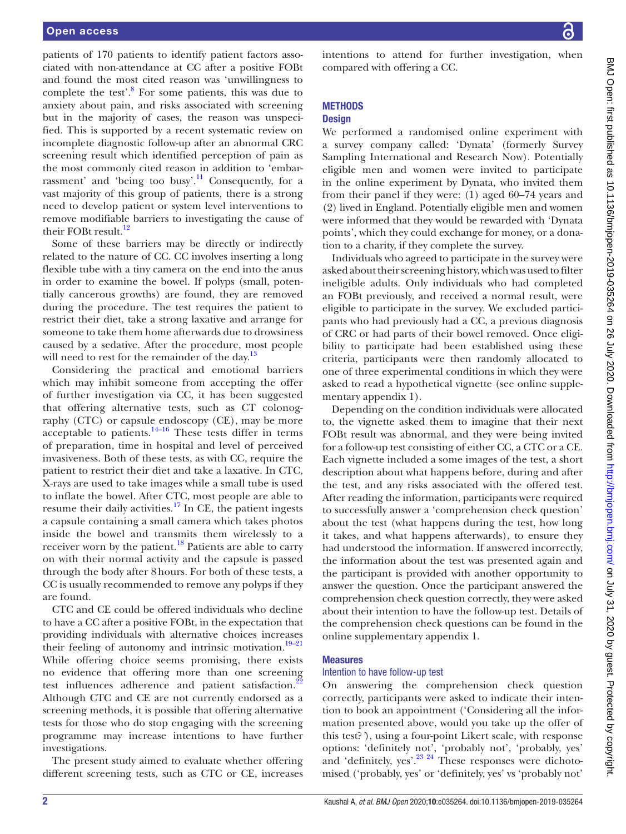patients of 170 patients to identify patient factors associated with non-attendance at CC after a positive FOBt and found the most cited reason was 'unwillingness to complete the test'.<sup>[8](#page-8-4)</sup> For some patients, this was due to anxiety about pain, and risks associated with screening but in the majority of cases, the reason was unspecified. This is supported by a recent systematic review on incomplete diagnostic follow-up after an abnormal CRC screening result which identified perception of pain as the most commonly cited reason in addition to 'embarrassment' and 'being too busy'.<sup>11</sup> Consequently, for a vast majority of this group of patients, there is a strong need to develop patient or system level interventions to remove modifiable barriers to investigating the cause of their FOBt result.<sup>[12](#page-8-6)</sup>

Some of these barriers may be directly or indirectly related to the nature of CC. CC involves inserting a long flexible tube with a tiny camera on the end into the anus in order to examine the bowel. If polyps (small, potentially cancerous growths) are found, they are removed during the procedure. The test requires the patient to restrict their diet, take a strong laxative and arrange for someone to take them home afterwards due to drowsiness caused by a sedative. After the procedure, most people will need to rest for the remainder of the day.<sup>[13](#page-8-7)</sup>

Considering the practical and emotional barriers which may inhibit someone from accepting the offer of further investigation via CC, it has been suggested that offering alternative tests, such as CT colonography (CTC) or capsule endoscopy (CE), may be more acceptable to patients. $\frac{14-16}{1}$  These tests differ in terms of preparation, time in hospital and level of perceived invasiveness. Both of these tests, as with CC, require the patient to restrict their diet and take a laxative. In CTC, X-rays are used to take images while a small tube is used to inflate the bowel. After CTC, most people are able to resume their daily activities. $17$  In CE, the patient ingests a capsule containing a small camera which takes photos inside the bowel and transmits them wirelessly to a receiver worn by the patient.[18](#page-8-10) Patients are able to carry on with their normal activity and the capsule is passed through the body after 8hours. For both of these tests, a CC is usually recommended to remove any polyps if they are found.

CTC and CE could be offered individuals who decline to have a CC after a positive FOBt, in the expectation that providing individuals with alternative choices increases their feeling of autonomy and intrinsic motivation.<sup>19-21</sup> While offering choice seems promising, there exists no evidence that offering more than one screening test influences adherence and patient satisfaction.<sup>22</sup> Although CTC and CE are not currently endorsed as a screening methods, it is possible that offering alternative tests for those who do stop engaging with the screening programme may increase intentions to have further investigations.

The present study aimed to evaluate whether offering different screening tests, such as CTC or CE, increases

intentions to attend for further investigation, when compared with offering a CC.

# **METHODS**

#### **Design**

We performed a randomised online experiment with a survey company called: 'Dynata' (formerly Survey Sampling International and Research Now). Potentially eligible men and women were invited to participate in the online experiment by Dynata, who invited them from their panel if they were: (1) aged 60–74 years and (2) lived in England. Potentially eligible men and women were informed that they would be rewarded with 'Dynata points', which they could exchange for money, or a donation to a charity, if they complete the survey.

Individuals who agreed to participate in the survey were asked about their screening history, which was used to filter ineligible adults. Only individuals who had completed an FOBt previously, and received a normal result, were eligible to participate in the survey. We excluded participants who had previously had a CC, a previous diagnosis of CRC or had parts of their bowel removed. Once eligibility to participate had been established using these criteria, participants were then randomly allocated to one of three experimental conditions in which they were asked to read a hypothetical vignette (see [online supple](https://dx.doi.org/10.1136/bmjopen-2019-035264)[mentary appendix 1](https://dx.doi.org/10.1136/bmjopen-2019-035264)).

Depending on the condition individuals were allocated to, the vignette asked them to imagine that their next FOBt result was abnormal, and they were being invited for a follow-up test consisting of either CC, a CTC or a CE. Each vignette included a some images of the test, a short description about what happens before, during and after the test, and any risks associated with the offered test. After reading the information, participants were required to successfully answer a 'comprehension check question' about the test (what happens during the test, how long it takes, and what happens afterwards), to ensure they had understood the information. If answered incorrectly, the information about the test was presented again and the participant is provided with another opportunity to answer the question. Once the participant answered the comprehension check question correctly, they were asked about their intention to have the follow-up test. Details of the comprehension check questions can be found in the [online supplementary appendix 1](https://dx.doi.org/10.1136/bmjopen-2019-035264).

#### **Measures**

#### Intention to have follow-up test

On answering the comprehension check question correctly, participants were asked to indicate their intention to book an appointment ('Considering all the information presented above, would you take up the offer of this test?*'*), using a four-point Likert scale, with response options: 'definitely not', 'probably not', 'probably, yes' and 'definitely, yes'.<sup>23 24</sup> These responses were dichotomised ('probably, yes' or 'definitely, yes' vs 'probably not'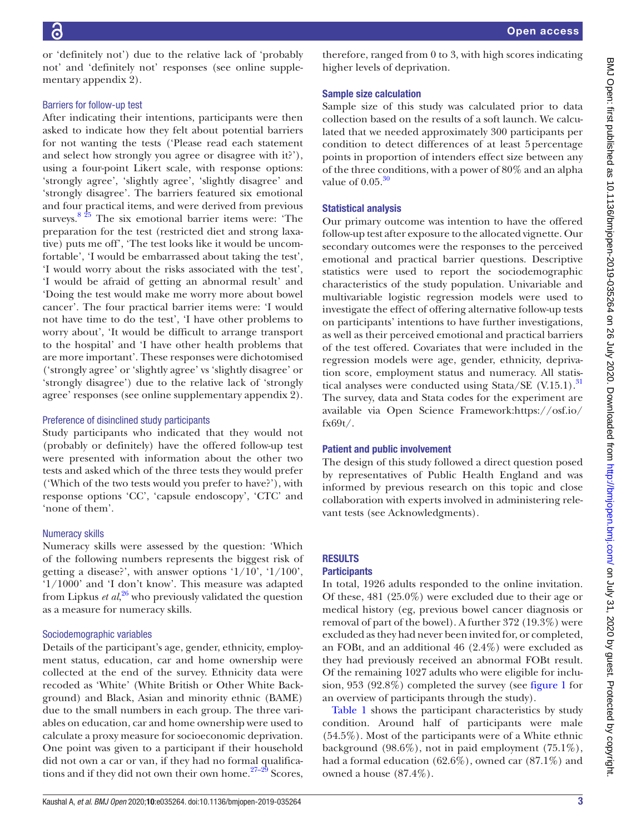or 'definitely not') due to the relative lack of 'probably not' and 'definitely not' responses (see [online supple](https://dx.doi.org/10.1136/bmjopen-2019-035264)[mentary appendix 2](https://dx.doi.org/10.1136/bmjopen-2019-035264)).

#### Barriers for follow-up test

After indicating their intentions, participants were then asked to indicate how they felt about potential barriers for not wanting the tests ('Please read each statement and select how strongly you agree or disagree with it?'), using a four-point Likert scale, with response options: 'strongly agree', 'slightly agree', 'slightly disagree' and 'strongly disagree'. The barriers featured six emotional and four practical items, and were derived from previous surveys. $8\frac{25}{1}$  The six emotional barrier items were: 'The preparation for the test (restricted diet and strong laxative) puts me off', 'The test looks like it would be uncomfortable', 'I would be embarrassed about taking the test', 'I would worry about the risks associated with the test', 'I would be afraid of getting an abnormal result' and 'Doing the test would make me worry more about bowel cancer'. The four practical barrier items were: 'I would not have time to do the test', 'I have other problems to worry about', 'It would be difficult to arrange transport to the hospital' and 'I have other health problems that are more important'. These responses were dichotomised ('strongly agree' or 'slightly agree' vs 'slightly disagree' or 'strongly disagree') due to the relative lack of 'strongly agree' responses (see [online supplementary appendix 2](https://dx.doi.org/10.1136/bmjopen-2019-035264)).

#### Preference of disinclined study participants

Study participants who indicated that they would not (probably or definitely) have the offered follow-up test were presented with information about the other two tests and asked which of the three tests they would prefer ('Which of the two tests would you prefer to have?'), with response options 'CC', 'capsule endoscopy', 'CTC' and 'none of them'.

#### Numeracy skills

Numeracy skills were assessed by the question: 'Which of the following numbers represents the biggest risk of getting a disease?', with answer options '1/10', '1/100', '1/1000' and 'I don't know'. This measure was adapted from Lipkus *et al*, [26](#page-8-14) who previously validated the question as a measure for numeracy skills.

#### Sociodemographic variables

Details of the participant's age, gender, ethnicity, employment status, education, car and home ownership were collected at the end of the survey. Ethnicity data were recoded as 'White' (White British or Other White Background) and Black, Asian and minority ethnic (BAME) due to the small numbers in each group. The three variables on education, car and home ownership were used to calculate a proxy measure for socioeconomic deprivation. One point was given to a participant if their household did not own a car or van, if they had no formal qualifications and if they did not own their own home. $27-29$  Scores,

therefore, ranged from 0 to 3, with high scores indicating higher levels of deprivation.

#### Sample size calculation

Sample size of this study was calculated prior to data collection based on the results of a soft launch. We calculated that we needed approximately 300 participants per condition to detect differences of at least 5percentage points in proportion of intenders effect size between any of the three conditions, with a power of 80% and an alpha value of  $0.05.\overline{30}$ 

#### Statistical analysis

Our primary outcome was intention to have the offered follow-up test after exposure to the allocated vignette. Our secondary outcomes were the responses to the perceived emotional and practical barrier questions. Descriptive statistics were used to report the sociodemographic characteristics of the study population. Univariable and multivariable logistic regression models were used to investigate the effect of offering alternative follow-up tests on participants' intentions to have further investigations, as well as their perceived emotional and practical barriers of the test offered. Covariates that were included in the regression models were age, gender, ethnicity, deprivation score, employment status and numeracy. All statistical analyses were conducted using Stata/SE  $(V.15.1)$ .<sup>[31](#page-8-17)</sup> The survey, data and Stata codes for the experiment are available via Open Science Framework:[https://osf.io/](https://osf.io/fx69t/) [fx69t/.](https://osf.io/fx69t/)

#### Patient and public involvement

The design of this study followed a direct question posed by representatives of Public Health England and was informed by previous research on this topic and close collaboration with experts involved in administering relevant tests (see Acknowledgments).

# **RESULTS**

#### **Participants**

In total, 1926 adults responded to the online invitation. Of these, 481 (25.0%) were excluded due to their age or medical history (eg, previous bowel cancer diagnosis or removal of part of the bowel). A further 372 (19.3%) were excluded as they had never been invited for, or completed, an FOBt, and an additional 46 (2.4%) were excluded as they had previously received an abnormal FOBt result. Of the remaining 1027 adults who were eligible for inclusion, 953 (92.8%) completed the survey (see [figure](#page-3-0) 1 for an overview of participants through the study).

[Table](#page-4-0) 1 shows the participant characteristics by study condition. Around half of participants were male (54.5%). Most of the participants were of a White ethnic background (98.6%), not in paid employment (75.1%), had a formal education (62.6%), owned car (87.1%) and owned a house (87.4%).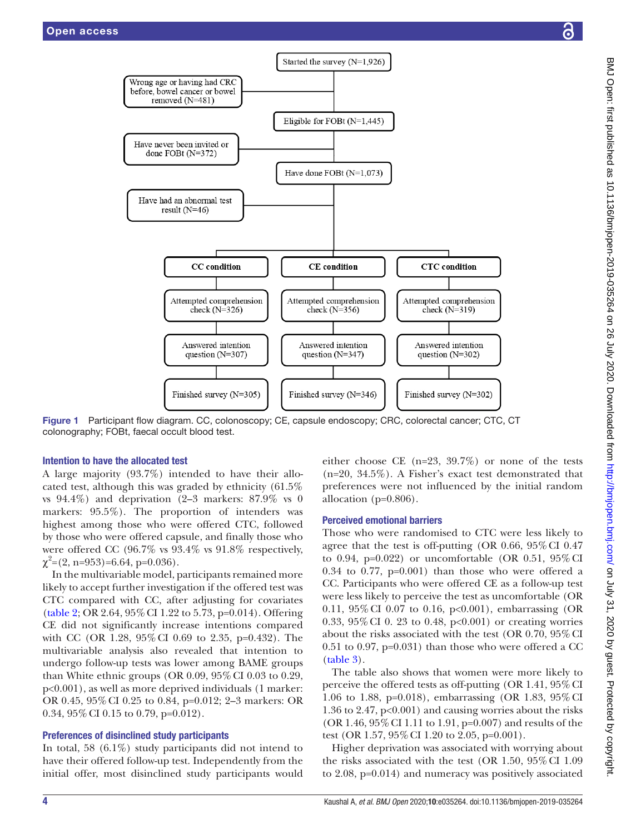

Started the survey (N=1.926)

Figure 1 Participant flow diagram. CC, colonoscopy; CE, capsule endoscopy; CRC, colorectal cancer; CTC, CT colonography; FOBt, faecal occult blood test.

#### Intention to have the allocated test

A large majority (93.7%) intended to have their allocated test, although this was graded by ethnicity (61.5% vs  $94.4\%$ ) and deprivation (2–3 markers:  $87.9\%$  vs 0 markers: 95.5%). The proportion of intenders was highest among those who were offered CTC, followed by those who were offered capsule, and finally those who were offered CC (96.7% vs 93.4% vs 91.8% respectively,  $\chi^2 = (2, n=953) = 6.64, p=0.036).$ 

removed (N=481)

Have never been invited or done FOBt (N=372)

result  $(N=46)$ 

In the multivariable model, participants remained more likely to accept further investigation if the offered test was CTC compared with CC, after adjusting for covariates ([table](#page-5-0) 2; OR 2.64, 95%CI 1.22 to 5.73, p=0.014). Offering CE did not significantly increase intentions compared with CC (OR 1.28, 95%CI 0.69 to 2.35, p=0.432). The multivariable analysis also revealed that intention to undergo follow-up tests was lower among BAME groups than White ethnic groups (OR 0.09, 95% CI 0.03 to 0.29, p<0.001), as well as more deprived individuals (1 marker: OR 0.45, 95%CI 0.25 to 0.84, p=0.012; 2–3 markers: OR 0.34, 95% CI 0.15 to 0.79, p=0.012).

## Preferences of disinclined study participants

In total, 58 (6.1%) study participants did not intend to have their offered follow-up test. Independently from the initial offer, most disinclined study participants would

<span id="page-3-0"></span>either choose CE (n=23, 39.7%) or none of the tests (n=20, 34.5%). A Fisher's exact test demonstrated that preferences were not influenced by the initial random allocation (p=0.806).

#### Perceived emotional barriers

Those who were randomised to CTC were less likely to agree that the test is off-putting (OR  $0.66$ ,  $95\%$  CI  $0.47$ to 0.94, p=0.022) or uncomfortable (OR 0.51,  $95\%$  CI  $0.34$  to  $0.77$ ,  $p=0.001$ ) than those who were offered a CC. Participants who were offered CE as a follow-up test were less likely to perceive the test as uncomfortable (OR 0.11, 95%CI 0.07 to 0.16, p<0.001), embarrassing (OR 0.33, 95%CI 0. 23 to 0.48, p<0.001) or creating worries about the risks associated with the test (OR 0.70, 95%CI 0.51 to 0.97, p=0.031) than those who were offered a CC [\(table](#page-6-0) 3).

The table also shows that women were more likely to perceive the offered tests as off-putting  $(OR 1.41, 95\% \text{ CI})$ 1.06 to 1.88, p=0.018), embarrassing (OR 1.83, 95%CI 1.36 to 2.47, p<0.001) and causing worries about the risks (OR 1.46, 95%CI 1.11 to 1.91, p=0.007) and results of the test (OR 1.57, 95%CI 1.20 to 2.05, p=0.001).

Higher deprivation was associated with worrying about the risks associated with the test (OR 1.50, 95%CI 1.09 to 2.08, p=0.014) and numeracy was positively associated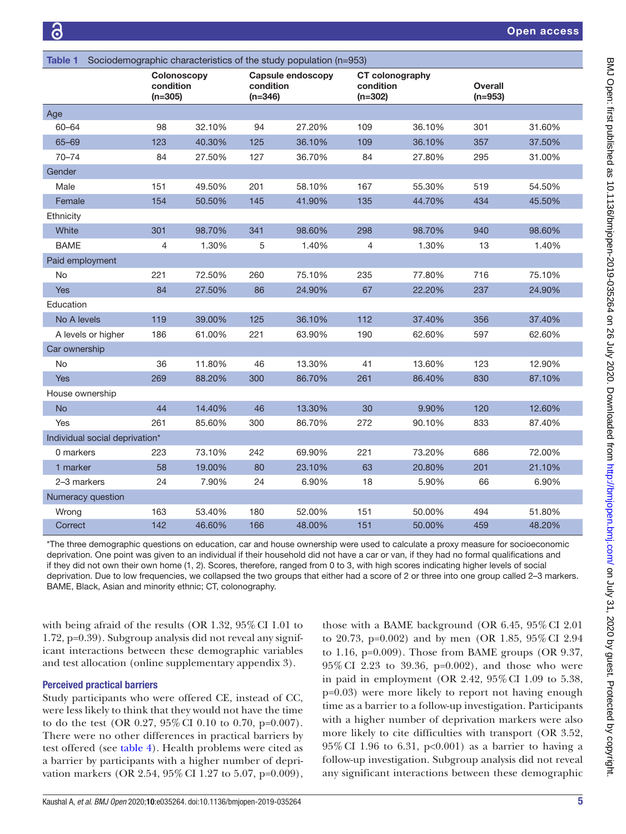<span id="page-4-0"></span>

| Table 1                        |                                       |        |                        | Sociodemographic characteristics of the study population (n=953) |                        |                 |                             |        |
|--------------------------------|---------------------------------------|--------|------------------------|------------------------------------------------------------------|------------------------|-----------------|-----------------------------|--------|
|                                | Colonoscopy<br>condition<br>$(n=305)$ |        | condition<br>$(n=346)$ | Capsule endoscopy                                                | condition<br>$(n=302)$ | CT colonography | <b>Overall</b><br>$(n=953)$ |        |
| Age                            |                                       |        |                        |                                                                  |                        |                 |                             |        |
| $60 - 64$                      | 98                                    | 32.10% | 94                     | 27.20%                                                           | 109                    | 36.10%          | 301                         | 31.60% |
| $65 - 69$                      | 123                                   | 40.30% | 125                    | 36.10%                                                           | 109                    | 36.10%          | 357                         | 37.50% |
| $70 - 74$                      | 84                                    | 27.50% | 127                    | 36.70%                                                           | 84                     | 27.80%          | 295                         | 31.00% |
| Gender                         |                                       |        |                        |                                                                  |                        |                 |                             |        |
| Male                           | 151                                   | 49.50% | 201                    | 58.10%                                                           | 167                    | 55.30%          | 519                         | 54.50% |
| Female                         | 154                                   | 50.50% | 145                    | 41.90%                                                           | 135                    | 44.70%          | 434                         | 45.50% |
| Ethnicity                      |                                       |        |                        |                                                                  |                        |                 |                             |        |
| White                          | 301                                   | 98.70% | 341                    | 98.60%                                                           | 298                    | 98.70%          | 940                         | 98.60% |
| <b>BAME</b>                    | $\overline{4}$                        | 1.30%  | 5                      | 1.40%                                                            | 4                      | 1.30%           | 13                          | 1.40%  |
| Paid employment                |                                       |        |                        |                                                                  |                        |                 |                             |        |
| No                             | 221                                   | 72.50% | 260                    | 75.10%                                                           | 235                    | 77.80%          | 716                         | 75.10% |
| <b>Yes</b>                     | 84                                    | 27.50% | 86                     | 24.90%                                                           | 67                     | 22.20%          | 237                         | 24.90% |
| Education                      |                                       |        |                        |                                                                  |                        |                 |                             |        |
| No A levels                    | 119                                   | 39.00% | 125                    | 36.10%                                                           | 112                    | 37.40%          | 356                         | 37.40% |
| A levels or higher             | 186                                   | 61.00% | 221                    | 63.90%                                                           | 190                    | 62.60%          | 597                         | 62.60% |
| Car ownership                  |                                       |        |                        |                                                                  |                        |                 |                             |        |
| No                             | 36                                    | 11.80% | 46                     | 13.30%                                                           | 41                     | 13.60%          | 123                         | 12.90% |
| <b>Yes</b>                     | 269                                   | 88.20% | 300                    | 86.70%                                                           | 261                    | 86.40%          | 830                         | 87.10% |
| House ownership                |                                       |        |                        |                                                                  |                        |                 |                             |        |
| <b>No</b>                      | 44                                    | 14.40% | 46                     | 13.30%                                                           | 30                     | 9.90%           | 120                         | 12.60% |
| Yes                            | 261                                   | 85.60% | 300                    | 86.70%                                                           | 272                    | 90.10%          | 833                         | 87.40% |
| Individual social deprivation* |                                       |        |                        |                                                                  |                        |                 |                             |        |
| 0 markers                      | 223                                   | 73.10% | 242                    | 69.90%                                                           | 221                    | 73.20%          | 686                         | 72.00% |
| 1 marker                       | 58                                    | 19.00% | 80                     | 23.10%                                                           | 63                     | 20.80%          | 201                         | 21.10% |
| 2-3 markers                    | 24                                    | 7.90%  | 24                     | 6.90%                                                            | 18                     | 5.90%           | 66                          | 6.90%  |
| Numeracy question              |                                       |        |                        |                                                                  |                        |                 |                             |        |
| Wrong                          | 163                                   | 53.40% | 180                    | 52.00%                                                           | 151                    | 50.00%          | 494                         | 51.80% |
| Correct                        | 142                                   | 46.60% | 166                    | 48.00%                                                           | 151                    | 50.00%          | 459                         | 48.20% |

\*The three demographic questions on education, car and house ownership were used to calculate a proxy measure for socioeconomic deprivation. One point was given to an individual if their household did not have a car or van, if they had no formal qualifications and if they did not own their own home (1, 2). Scores, therefore, ranged from 0 to 3, with high scores indicating higher levels of social deprivation. Due to low frequencies, we collapsed the two groups that either had a score of 2 or three into one group called 2–3 markers. BAME, Black, Asian and minority ethnic; CT, colonography.

with being afraid of the results (OR 1.32, 95% CI 1.01 to 1.72, p=0.39). Subgroup analysis did not reveal any significant interactions between these demographic variables and test allocation [\(online supplementary appendix 3](https://dx.doi.org/10.1136/bmjopen-2019-035264)).

#### Perceived practical barriers

Study participants who were offered CE, instead of CC, were less likely to think that they would not have the time to do the test (OR 0.27, 95%CI 0.10 to 0.70, p=0.007). There were no other differences in practical barriers by test offered (see [table](#page-7-0) 4). Health problems were cited as a barrier by participants with a higher number of deprivation markers (OR 2.54, 95%CI 1.27 to 5.07, p=0.009),

those with a BAME background (OR  $6.45$ ,  $95\%$  CI  $2.01$ to 20.73, p=0.002) and by men (OR 1.85, 95%CI 2.94 to 1.16, p=0.009). Those from BAME groups (OR 9.37, 95%CI 2.23 to 39.36, p=0.002), and those who were in paid in employment (OR 2.42, 95%CI 1.09 to 5.38, p=0.03) were more likely to report not having enough time as a barrier to a follow-up investigation. Participants with a higher number of deprivation markers were also more likely to cite difficulties with transport (OR 3.52, 95%CI 1.96 to 6.31, p<0.001) as a barrier to having a follow-up investigation. Subgroup analysis did not reveal any significant interactions between these demographic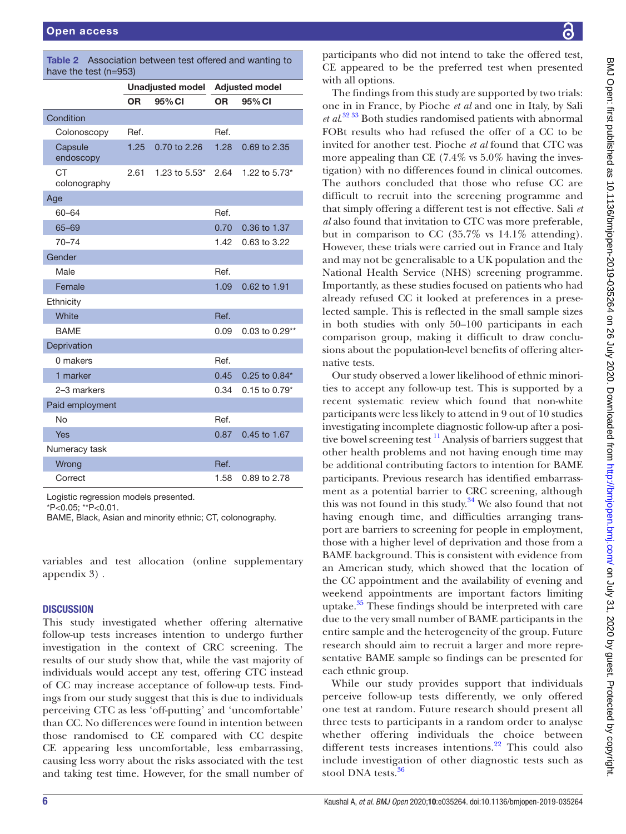| have the test (n=953)                                       |           |                         |      |                       |
|-------------------------------------------------------------|-----------|-------------------------|------|-----------------------|
|                                                             |           | <b>Unadjusted model</b> |      | <b>Adjusted model</b> |
|                                                             | <b>OR</b> | 95% CI                  | 0R   | 95% CI                |
| Condition                                                   |           |                         |      |                       |
| Colonoscopy                                                 | Ref.      |                         | Ref. |                       |
| Capsule<br>endoscopy                                        | 1.25      | 0.70 to 2.26            | 1.28 | 0.69 to 2.35          |
| <b>CT</b><br>colonography                                   | 2.61      | 1.23 to $5.53^*$        | 2.64 | 1.22 to 5.73*         |
| Age                                                         |           |                         |      |                       |
| 60-64                                                       |           |                         | Ref. |                       |
| 65-69                                                       |           |                         | 0.70 | 0.36 to 1.37          |
| $70 - 74$                                                   |           |                         | 1.42 | 0.63 to 3.22          |
| Gender                                                      |           |                         |      |                       |
| Male                                                        |           |                         | Ref. |                       |
| Female                                                      |           |                         | 1.09 | 0.62 to 1.91          |
| Ethnicity                                                   |           |                         |      |                       |
| White                                                       |           |                         | Ref. |                       |
| <b>BAME</b>                                                 |           |                         | 0.09 | 0.03 to 0.29**        |
| Deprivation                                                 |           |                         |      |                       |
| 0 makers                                                    |           |                         | Ref. |                       |
| 1 marker                                                    |           |                         | 0.45 | 0.25 to 0.84*         |
| 2-3 markers                                                 |           |                         | 0.34 | $0.15$ to $0.79*$     |
| Paid employment                                             |           |                         |      |                       |
| No                                                          |           |                         | Ref. |                       |
| Yes                                                         |           |                         | 0.87 | 0.45 to 1.67          |
| Numeracy task                                               |           |                         |      |                       |
| Wrong                                                       |           |                         | Ref. |                       |
| Correct                                                     |           |                         | 1.58 | 0.89 to 2.78          |
| Logistic regression models presented.<br>*P<0.05; **P<0.01. |           |                         |      |                       |

<span id="page-5-0"></span>Table 2 Association between test offered and wanting to

BAME, Black, Asian and minority ethnic; CT, colonography.

variables and test allocation [\(online supplementary](https://dx.doi.org/10.1136/bmjopen-2019-035264) [appendix 3](https://dx.doi.org/10.1136/bmjopen-2019-035264)) .

#### **DISCUSSION**

This study investigated whether offering alternative follow-up tests increases intention to undergo further investigation in the context of CRC screening. The results of our study show that, while the vast majority of individuals would accept any test, offering CTC instead of CC may increase acceptance of follow-up tests. Findings from our study suggest that this is due to individuals perceiving CTC as less 'off-putting' and 'uncomfortable' than CC. No differences were found in intention between those randomised to CE compared with CC despite CE appearing less uncomfortable, less embarrassing, causing less worry about the risks associated with the test and taking test time. However, for the small number of BMJ Open: first published as 10.1136/bmjopen-2019-035264 on 26 July 2020. Downloaded from http://bmjopen.bmj.com/ on July 31, 2020 by guest. Protected by copyright BMJ Open: first published as 10.1136/bmjopen-2019-035264 on 26 July 2020. Downloaded from <http://bmjopen.bmj.com/> on July 31, 2020 by guest. Protected by copyright.

participants who did not intend to take the offered test, CE appeared to be the preferred test when presented with all options.

The findings from this study are supported by two trials: one in in France, by Pioche *et al* and one in Italy, by Sali *et al*. [32 33](#page-8-18) Both studies randomised patients with abnormal FOBt results who had refused the offer of a CC to be invited for another test. Pioche *et al* found that CTC was more appealing than CE  $(7.4\% \text{ vs } 5.0\% \text{ having the inverse})$ tigation) with no differences found in clinical outcomes. The authors concluded that those who refuse CC are difficult to recruit into the screening programme and that simply offering a different test is not effective. Sali *et al* also found that invitation to CTC was more preferable, but in comparison to CC (35.7% vs 14.1% attending). However, these trials were carried out in France and Italy and may not be generalisable to a UK population and the National Health Service (NHS) screening programme. Importantly, as these studies focused on patients who had already refused CC it looked at preferences in a preselected sample. This is reflected in the small sample sizes in both studies with only 50–100 participants in each comparison group, making it difficult to draw conclusions about the population-level benefits of offering alternative tests.

Our study observed a lower likelihood of ethnic minorities to accept any follow-up test. This is supported by a recent systematic review which found that non-white participants were less likely to attend in 9 out of 10 studies investigating incomplete diagnostic follow-up after a positive bowel screening test  $\frac{11}{2}$  Analysis of barriers suggest that other health problems and not having enough time may be additional contributing factors to intention for BAME participants. Previous research has identified embarrassment as a potential barrier to CRC screening, although this was not found in this study. $34$  We also found that not having enough time, and difficulties arranging transport are barriers to screening for people in employment, those with a higher level of deprivation and those from a BAME background. This is consistent with evidence from an American study, which showed that the location of the CC appointment and the availability of evening and weekend appointments are important factors limiting uptake.<sup>35</sup> These findings should be interpreted with care due to the very small number of BAME participants in the entire sample and the heterogeneity of the group. Future research should aim to recruit a larger and more representative BAME sample so findings can be presented for each ethnic group.

While our study provides support that individuals perceive follow-up tests differently, we only offered one test at random. Future research should present all three tests to participants in a random order to analyse whether offering individuals the choice between different tests increases intentions.<sup>[22](#page-8-12)</sup> This could also include investigation of other diagnostic tests such as stool DNA tests.<sup>[36](#page-8-21)</sup>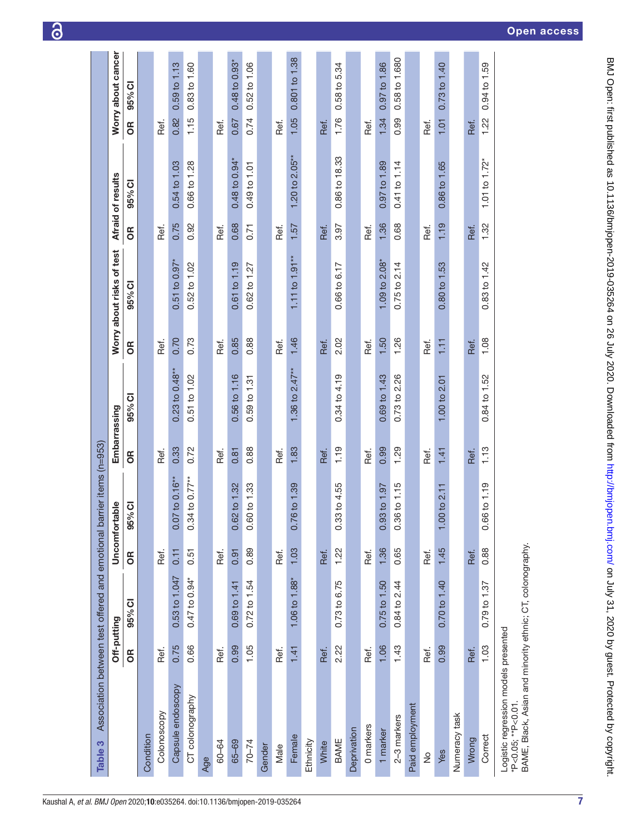<span id="page-6-0"></span>

| Table 3                                                                                                                 |      |               |      | Association between test offered and emotional barrier items (n=953) |              |                     |           |                               |      |                                      |                           |
|-------------------------------------------------------------------------------------------------------------------------|------|---------------|------|----------------------------------------------------------------------|--------------|---------------------|-----------|-------------------------------|------|--------------------------------------|---------------------------|
|                                                                                                                         |      | Off-putting   |      | Uncomfortable                                                        | Embarrassing |                     |           | Worry about risks of test     |      | Afraid of results                    | Worry about cancer        |
|                                                                                                                         | 6R   | 95% CI        | 6R   | 95% CI                                                               | 6R           | 95% CI              | <b>SP</b> | 95% CI                        | 6R   | 95% CI                               | 95% C<br>6R               |
| Condition                                                                                                               |      |               |      |                                                                      |              |                     |           |                               |      |                                      |                           |
| Colonoscopy                                                                                                             | Ref. |               | Ref. |                                                                      | Ref.         |                     | Ref.      |                               | Ref. |                                      | Ref.                      |
| Capsule endoscopy                                                                                                       | 0.75 | 0.53 to 1.047 | 0.11 | $0.07$ to $0.16***$                                                  | 0.33         | $0.23$ to $0.48***$ | 0.70      | $0.51$ to $0.97$ <sup>*</sup> | 0.75 | $0.54$ to $1.03$                     | $0.59$ to $1.13$<br>0.82  |
| CT colonography                                                                                                         | 0.66 | 0.47 to 0.94* | 0.51 | $0.34$ to $0.77***$                                                  | 0.72         | 0.51 to 1.02        | 0.73      | 0.52 to 1.02                  | 0.92 | 0.66 to 1.28                         | 0.83 to 1.60<br>1.15      |
| Age                                                                                                                     |      |               |      |                                                                      |              |                     |           |                               |      |                                      |                           |
| 60-64                                                                                                                   | Ref. |               | Ref. |                                                                      | Ref.         |                     | Ref.      |                               | Ref. |                                      | Ref.                      |
| 65-69                                                                                                                   | 0.99 | 0.69 to 1.41  | 0.91 | 0.62 to 1.32                                                         | 0.81         | 0.56 to 1.16        | 0.85      | 0.61 to 1.19                  | 0.68 | $0.48 \text{ to } 0.94$ <sup>*</sup> | $0.48$ to $0.93*$<br>0.67 |
| $70 - 74$                                                                                                               | 1.05 | 0.72 to 1.54  | 0.89 | 0.60 to 1.33                                                         | 0.88         | 0.59 to 1.31        | 0.88      | $0.62$ to $1.27$              | 0.71 | $0.49$ to $1.01$                     | 0.52 to 1.06<br>0.74      |
| Gender                                                                                                                  |      |               |      |                                                                      |              |                     |           |                               |      |                                      |                           |
| Male                                                                                                                    | Ref. |               | Ref. |                                                                      | Ref.         |                     | Ref.      |                               | Ref. |                                      | Ref.                      |
| Female                                                                                                                  | 1.41 | 1.06 to 1.88* | 1.03 | 0.76 to 1.39                                                         | 1.83         | 1.36 to $2.47***$   | 1.46      | $1.11$ to $1.91***$           | 1.57 | 1.20 to $2.05***$                    | 0.801 to 1.38<br>1.05     |
| Ethnicity                                                                                                               |      |               |      |                                                                      |              |                     |           |                               |      |                                      |                           |
| White                                                                                                                   | Ref. |               | Ref. |                                                                      | Ref.         |                     | Ref.      |                               | Ref. |                                      | Ref.                      |
| BAME                                                                                                                    | 2.22 | 0.73 to 6.75  | 1.22 | 0.33 to 4.55                                                         | 1.19         | $0.34$ to $4.19$    | 2.02      | 0.66 to 6.17                  | 3.97 | 0.86 to 18.33                        | 0.58 to 5.34<br>1.76      |
| Deprivation                                                                                                             |      |               |      |                                                                      |              |                     |           |                               |      |                                      |                           |
| 0 markers                                                                                                               | Ref. |               | Ref. |                                                                      | Ref.         |                     | Ref.      |                               | Ref. |                                      | Ref.                      |
| 1 marker                                                                                                                | 1.06 | 0.75 to 1.50  | 1.36 | 0.93 to 1.97                                                         | 0.99         | 0.69 to 1.43        | 1.50      | 1.09 to 2.08*                 | 1.36 | $0.97$ to $1.89$                     | 0.97 to 1.86<br>1.34      |
| 2-3 markers                                                                                                             | 1.43 | 0.84 to 2.44  | 0.65 | 0.36 to 1.15                                                         | 1.29         | 0.73 to 2.26        | 1.26      | $0.75$ to $2.14$              | 0.68 | $0.41$ to $1.14$                     | 0.58 to 1.680<br>0.99     |
| Paid employment                                                                                                         |      |               |      |                                                                      |              |                     |           |                               |      |                                      |                           |
| $\frac{1}{2}$                                                                                                           | Ref. |               | Ref. |                                                                      | Ref.         |                     | Ref.      |                               | Ref. |                                      | Ref.                      |
| Yes                                                                                                                     | 0.99 | 0.70 to 1.40  | 1.45 | 1.00 to 2.11                                                         | 1.41         | 1.00 to 2.01        | 1.11      | 0.80 to 1.53                  | 1.19 | 0.86 to 1.65                         | 0.73 to 1.40<br>1.01      |
| Numeracy task                                                                                                           |      |               |      |                                                                      |              |                     |           |                               |      |                                      |                           |
| Wrong                                                                                                                   | Ref. |               | Ref. |                                                                      | Ref.         |                     | Ref.      |                               | Ref. |                                      | Ref.                      |
| Correct                                                                                                                 | 1.03 | 0.79 to 1.37  | 0.88 | 0.66 to 1.19                                                         | 1.13         | 0.84 to 1.52        | 1.08      | 0.83 to 1.42                  | 1.32 | 1.01 to $1.72*$                      | 0.94 to 1.59<br>1.22      |
| BAME, Black, Asian and minority ethnic; CT, colonography.<br>Logistic regression models presented<br>*P<0.05; ** P<0.01 |      |               |      |                                                                      |              |                     |           |                               |      |                                      |                           |

6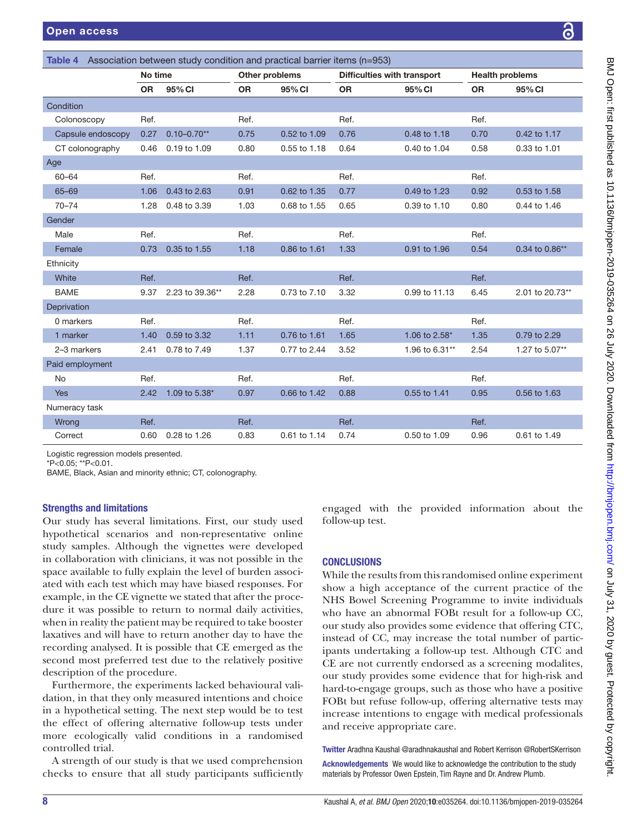|                   | No time   |                 |           | Other problems |           | Difficulties with transport |           | <b>Health problems</b> |
|-------------------|-----------|-----------------|-----------|----------------|-----------|-----------------------------|-----------|------------------------|
|                   | <b>OR</b> | 95% CI          | <b>OR</b> | 95% CI         | <b>OR</b> | 95% CI                      | <b>OR</b> | 95% CI                 |
| Condition         |           |                 |           |                |           |                             |           |                        |
| Colonoscopy       | Ref.      |                 | Ref.      |                | Ref.      |                             | Ref.      |                        |
| Capsule endoscopy | 0.27      | $0.10 - 0.70**$ | 0.75      | 0.52 to 1.09   | 0.76      | 0.48 to 1.18                | 0.70      | 0.42 to 1.17           |
| CT colonography   | 0.46      | 0.19 to 1.09    | 0.80      | 0.55 to 1.18   | 0.64      | 0.40 to 1.04                | 0.58      | 0.33 to 1.01           |
| Age               |           |                 |           |                |           |                             |           |                        |
| 60-64             | Ref.      |                 | Ref.      |                | Ref.      |                             | Ref.      |                        |
| 65-69             | 1.06      | 0.43 to 2.63    | 0.91      | 0.62 to 1.35   | 0.77      | 0.49 to 1.23                | 0.92      | 0.53 to 1.58           |
| $70 - 74$         | 1.28      | 0.48 to 3.39    | 1.03      | 0.68 to 1.55   | 0.65      | 0.39 to 1.10                | 0.80      | 0.44 to 1.46           |
| Gender            |           |                 |           |                |           |                             |           |                        |
| Male              | Ref.      |                 | Ref.      |                | Ref.      |                             | Ref.      |                        |
| Female            | 0.73      | 0.35 to 1.55    | 1.18      | 0.86 to 1.61   | 1.33      | 0.91 to 1.96                | 0.54      | 0.34 to 0.86**         |
| Ethnicity         |           |                 |           |                |           |                             |           |                        |
| White             | Ref.      |                 | Ref.      |                | Ref.      |                             | Ref.      |                        |
| <b>BAME</b>       | 9.37      | 2.23 to 39.36** | 2.28      | 0.73 to 7.10   | 3.32      | 0.99 to 11.13               | 6.45      | 2.01 to 20.73**        |
| Deprivation       |           |                 |           |                |           |                             |           |                        |
| 0 markers         | Ref.      |                 | Ref.      |                | Ref.      |                             | Ref.      |                        |
| 1 marker          | 1.40      | 0.59 to 3.32    | 1.11      | 0.76 to 1.61   | 1.65      | 1.06 to 2.58*               | 1.35      | 0.79 to 2.29           |
| 2-3 markers       | 2.41      | 0.78 to 7.49    | 1.37      | 0.77 to 2.44   | 3.52      | 1.96 to 6.31**              | 2.54      | 1.27 to 5.07**         |
| Paid employment   |           |                 |           |                |           |                             |           |                        |
| <b>No</b>         | Ref.      |                 | Ref.      |                | Ref.      |                             | Ref.      |                        |
| <b>Yes</b>        | 2.42      | 1.09 to 5.38*   | 0.97      | 0.66 to 1.42   | 0.88      | 0.55 to 1.41                | 0.95      | 0.56 to 1.63           |
| Numeracy task     |           |                 |           |                |           |                             |           |                        |
| Wrong             | Ref.      |                 | Ref.      |                | Ref.      |                             | Ref.      |                        |
| Correct           | 0.60      | 0.28 to 1.26    | 0.83      | 0.61 to 1.14   | 0.74      | 0.50 to 1.09                | 0.96      | 0.61 to 1.49           |

<span id="page-7-0"></span>Table 4 Association between study condition and practical barrier items (n=953)

\*P<0.05; \*\*P<0.01.

BAME, Black, Asian and minority ethnic; CT, colonography.

## Strengths and limitations

Our study has several limitations. First, our study used hypothetical scenarios and non-representative online study samples. Although the vignettes were developed in collaboration with clinicians, it was not possible in the space available to fully explain the level of burden associated with each test which may have biased responses. For example, in the CE vignette we stated that after the procedure it was possible to return to normal daily activities, when in reality the patient may be required to take booster laxatives and will have to return another day to have the recording analysed. It is possible that CE emerged as the second most preferred test due to the relatively positive description of the procedure.

Furthermore, the experiments lacked behavioural validation, in that they only measured intentions and choice in a hypothetical setting. The next step would be to test the effect of offering alternative follow-up tests under more ecologically valid conditions in a randomised controlled trial.

A strength of our study is that we used comprehension checks to ensure that all study participants sufficiently

engaged with the provided information about the follow-up test.

## **CONCLUSIONS**

While the results from this randomised online experiment show a high acceptance of the current practice of the NHS Bowel Screening Programme to invite individuals who have an abnormal FOBt result for a follow-up CC, our study also provides some evidence that offering CTC, instead of CC, may increase the total number of participants undertaking a follow-up test. Although CTC and CE are not currently endorsed as a screening modalites, our study provides some evidence that for high-risk and hard-to-engage groups, such as those who have a positive FOBt but refuse follow-up, offering alternative tests may increase intentions to engage with medical professionals and receive appropriate care.

Twitter Aradhna Kaushal [@aradhnakaushal](https://twitter.com/aradhnakaushal) and Robert Kerrison [@RobertSKerrison](https://twitter.com/RobertSKerrison)

Acknowledgements We would like to acknowledge the contribution to the study materials by Professor Owen Epstein, Tim Rayne and Dr. Andrew Plumb.